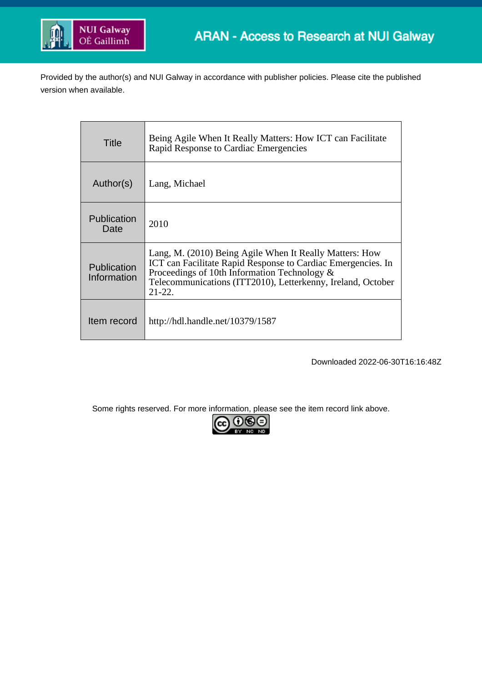

Provided by the author(s) and NUI Galway in accordance with publisher policies. Please cite the published version when available.

| Title                      | Being Agile When It Really Matters: How ICT can Facilitate<br>Rapid Response to Cardiac Emergencies                                                                                                                                                   |
|----------------------------|-------------------------------------------------------------------------------------------------------------------------------------------------------------------------------------------------------------------------------------------------------|
| Author(s)                  | Lang, Michael                                                                                                                                                                                                                                         |
| Publication<br>Date        | 2010                                                                                                                                                                                                                                                  |
| Publication<br>Information | Lang, M. (2010) Being Agile When It Really Matters: How<br>ICT can Facilitate Rapid Response to Cardiac Emergencies. In<br>Proceedings of 10th Information Technology $\&$<br>Telecommunications (ITT2010), Letterkenny, Ireland, October<br>$21-22.$ |
| Item record                | http://hdl.handle.net/10379/1587                                                                                                                                                                                                                      |

Downloaded 2022-06-30T16:16:48Z

Some rights reserved. For more information, please see the item record link above.

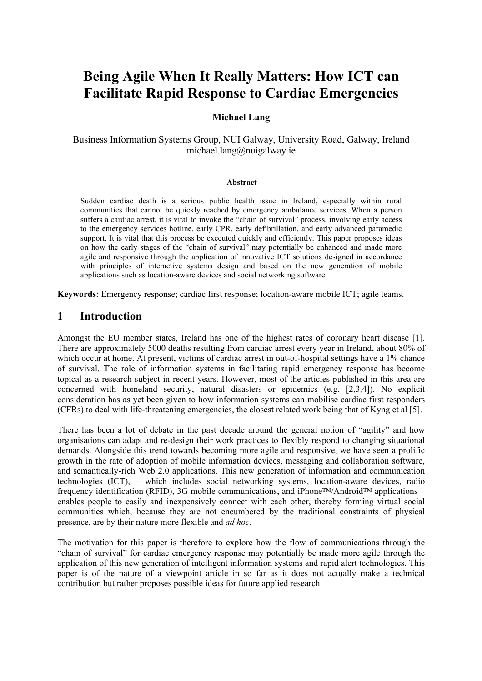# **Being Agile When It Really Matters: How ICT can Facilitate Rapid Response to Cardiac Emergencies**

#### **Michael Lang**

Business Information Systems Group, NUI Galway, University Road, Galway, Ireland michael.lang@nuigalway.ie

#### **Abstract**

Sudden cardiac death is a serious public health issue in Ireland, especially within rural communities that cannot be quickly reached by emergency ambulance services. When a person suffers a cardiac arrest, it is vital to invoke the "chain of survival" process, involving early access to the emergency services hotline, early CPR, early defibrillation, and early advanced paramedic support. It is vital that this process be executed quickly and efficiently. This paper proposes ideas on how the early stages of the "chain of survival" may potentially be enhanced and made more agile and responsive through the application of innovative ICT solutions designed in accordance with principles of interactive systems design and based on the new generation of mobile applications such as location-aware devices and social networking software.

**Keywords:** Emergency response; cardiac first response; location-aware mobile ICT; agile teams.

### **1 Introduction**

Amongst the EU member states, Ireland has one of the highest rates of coronary heart disease [1]. There are approximately 5000 deaths resulting from cardiac arrest every year in Ireland, about 80% of which occur at home. At present, victims of cardiac arrest in out-of-hospital settings have a 1% chance of survival. The role of information systems in facilitating rapid emergency response has become topical as a research subject in recent years. However, most of the articles published in this area are concerned with homeland security, natural disasters or epidemics (e.g. [2,3,4]). No explicit consideration has as yet been given to how information systems can mobilise cardiac first responders (CFRs) to deal with life-threatening emergencies, the closest related work being that of Kyng et al [5].

There has been a lot of debate in the past decade around the general notion of "agility" and how organisations can adapt and re-design their work practices to flexibly respond to changing situational demands. Alongside this trend towards becoming more agile and responsive, we have seen a prolific growth in the rate of adoption of mobile information devices, messaging and collaboration software, and semantically-rich Web 2.0 applications. This new generation of information and communication technologies (ICT), – which includes social networking systems, location-aware devices, radio frequency identification (RFID), 3G mobile communications, and iPhone™/Android™ applications – enables people to easily and inexpensively connect with each other, thereby forming virtual social communities which, because they are not encumbered by the traditional constraints of physical presence, are by their nature more flexible and *ad hoc*.

The motivation for this paper is therefore to explore how the flow of communications through the "chain of survival" for cardiac emergency response may potentially be made more agile through the application of this new generation of intelligent information systems and rapid alert technologies. This paper is of the nature of a viewpoint article in so far as it does not actually make a technical contribution but rather proposes possible ideas for future applied research.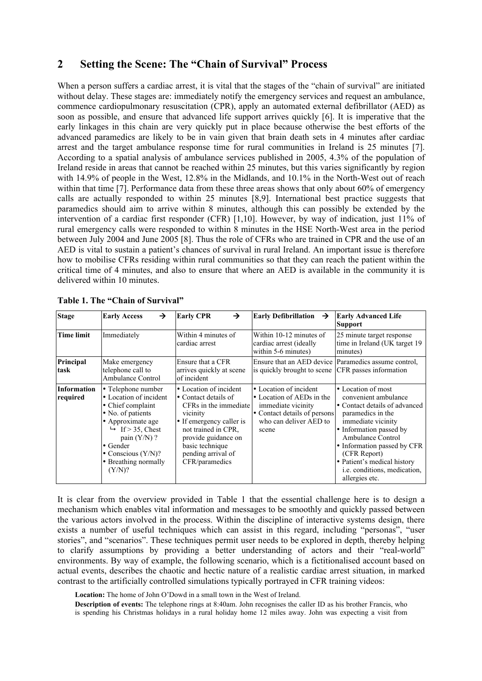## **2 Setting the Scene: The "Chain of Survival" Process**

When a person suffers a cardiac arrest, it is vital that the stages of the "chain of survival" are initiated without delay. These stages are: immediately notify the emergency services and request an ambulance, commence cardiopulmonary resuscitation (CPR), apply an automated external defibrillator (AED) as soon as possible, and ensure that advanced life support arrives quickly [6]. It is imperative that the early linkages in this chain are very quickly put in place because otherwise the best efforts of the advanced paramedics are likely to be in vain given that brain death sets in 4 minutes after cardiac arrest and the target ambulance response time for rural communities in Ireland is 25 minutes [7]. According to a spatial analysis of ambulance services published in 2005, 4.3% of the population of Ireland reside in areas that cannot be reached within 25 minutes, but this varies significantly by region with 14.9% of people in the West, 12.8% in the Midlands, and 10.1% in the North-West out of reach within that time [7]. Performance data from these three areas shows that only about 60% of emergency calls are actually responded to within 25 minutes [8,9]. International best practice suggests that paramedics should aim to arrive within 8 minutes, although this can possibly be extended by the intervention of a cardiac first responder (CFR) [1,10]. However, by way of indication, just 11% of rural emergency calls were responded to within 8 minutes in the HSE North-West area in the period between July 2004 and June 2005 [8]. Thus the role of CFRs who are trained in CPR and the use of an AED is vital to sustain a patient's chances of survival in rural Ireland. An important issue is therefore how to mobilise CFRs residing within rural communities so that they can reach the patient within the critical time of 4 minutes, and also to ensure that where an AED is available in the community it is delivered within 10 minutes.

| <b>Stage</b>            | →<br><b>Early Access</b>                                                                                                                                                                                                                     | <b>Early CPR</b><br>→                                                                                                                                                                                                    | <b>Early Defibrillation</b><br>$\rightarrow$                                                                                                 | <b>Early Advanced Life</b><br><b>Support</b>                                                                                                                                                                                                                                                                  |
|-------------------------|----------------------------------------------------------------------------------------------------------------------------------------------------------------------------------------------------------------------------------------------|--------------------------------------------------------------------------------------------------------------------------------------------------------------------------------------------------------------------------|----------------------------------------------------------------------------------------------------------------------------------------------|---------------------------------------------------------------------------------------------------------------------------------------------------------------------------------------------------------------------------------------------------------------------------------------------------------------|
| <b>Time limit</b>       | Immediately                                                                                                                                                                                                                                  | Within 4 minutes of<br>cardiac arrest                                                                                                                                                                                    | Within 10-12 minutes of<br>cardiac arrest (ideally<br>within 5-6 minutes)                                                                    | 25 minute target response<br>time in Ireland (UK target 19)<br>minutes)                                                                                                                                                                                                                                       |
| Principal<br>task       | Make emergency<br>telephone call to<br><b>Ambulance Control</b>                                                                                                                                                                              | Ensure that a CFR<br>arrives quickly at scene<br>of incident                                                                                                                                                             | is quickly brought to scene                                                                                                                  | Ensure that an AED device Paramedics assume control,<br>CFR passes information                                                                                                                                                                                                                                |
| Information<br>required | • Telephone number<br>• Location of incident<br>• Chief complaint<br>• No. of patients<br>· Approximate age<br>$\rightarrow$ If > 35, Chest<br>pain $(Y/N)$ ?<br>$\bullet$ Gender<br>• Conscious $(Y/N)$ ?<br>• Breathing normally<br>(Y/N)? | • Location of incident<br>• Contact details of<br>CFRs in the immediate<br>vicinity<br>• If emergency caller is<br>not trained in CPR.<br>provide guidance on<br>basic technique<br>pending arrival of<br>CFR/paramedics | • Location of incident<br>• Location of AEDs in the<br>immediate vicinity<br>• Contact details of persons<br>who can deliver AED to<br>scene | • Location of most<br>convenient ambulance<br>• Contact details of advanced<br>paramedics in the<br>immediate vicinity<br>• Information passed by<br><b>Ambulance Control</b><br>• Information passed by CFR<br>(CFR Report)<br>• Patient's medical history<br>i.e. conditions, medication,<br>allergies etc. |

**Table 1. The "Chain of Survival"**

It is clear from the overview provided in Table 1 that the essential challenge here is to design a mechanism which enables vital information and messages to be smoothly and quickly passed between the various actors involved in the process. Within the discipline of interactive systems design, there exists a number of useful techniques which can assist in this regard, including "personas", "user stories", and "scenarios". These techniques permit user needs to be explored in depth, thereby helping to clarify assumptions by providing a better understanding of actors and their "real-world" environments. By way of example, the following scenario, which is a fictitionalised account based on actual events, describes the chaotic and hectic nature of a realistic cardiac arrest situation, in marked contrast to the artificially controlled simulations typically portrayed in CFR training videos:

**Location:** The home of John O'Dowd in a small town in the West of Ireland.

**Description of events:** The telephone rings at 8:40am. John recognises the caller ID as his brother Francis, who is spending his Christmas holidays in a rural holiday home 12 miles away. John was expecting a visit from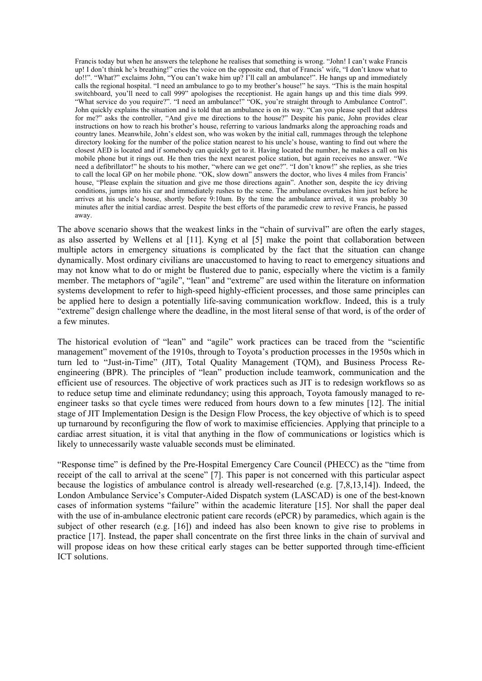Francis today but when he answers the telephone he realises that something is wrong. "John! I can't wake Francis up! I don't think he's breathing!" cries the voice on the opposite end, that of Francis' wife, "I don't know what to do!!". "What?" exclaims John, "You can't wake him up? I'll call an ambulance!". He hangs up and immediately calls the regional hospital. "I need an ambulance to go to my brother's house!" he says. "This is the main hospital switchboard, you'll need to call 999" apologises the receptionist. He again hangs up and this time dials 999. "What service do you require?". "I need an ambulance!" "OK, you're straight through to Ambulance Control". John quickly explains the situation and is told that an ambulance is on its way. "Can you please spell that address for me?" asks the controller, "And give me directions to the house?" Despite his panic, John provides clear instructions on how to reach his brother's house, referring to various landmarks along the approaching roads and country lanes. Meanwhile, John's eldest son, who was woken by the initial call, rummages through the telephone directory looking for the number of the police station nearest to his uncle's house, wanting to find out where the closest AED is located and if somebody can quickly get to it. Having located the number, he makes a call on his mobile phone but it rings out. He then tries the next nearest police station, but again receives no answer. "We need a defibrillator!" he shouts to his mother, "where can we get one?". "I don't know!" she replies, as she tries to call the local GP on her mobile phone. "OK, slow down" answers the doctor, who lives 4 miles from Francis' house, "Please explain the situation and give me those directions again". Another son, despite the icy driving conditions, jumps into his car and immediately rushes to the scene. The ambulance overtakes him just before he arrives at his uncle's house, shortly before 9:10am. By the time the ambulance arrived, it was probably 30 minutes after the initial cardiac arrest. Despite the best efforts of the paramedic crew to revive Francis, he passed away.

The above scenario shows that the weakest links in the "chain of survival" are often the early stages, as also asserted by Wellens et al [11]. Kyng et al [5] make the point that collaboration between multiple actors in emergency situations is complicated by the fact that the situation can change dynamically. Most ordinary civilians are unaccustomed to having to react to emergency situations and may not know what to do or might be flustered due to panic, especially where the victim is a family member. The metaphors of "agile", "lean" and "extreme" are used within the literature on information systems development to refer to high-speed highly-efficient processes, and those same principles can be applied here to design a potentially life-saving communication workflow. Indeed, this is a truly "extreme" design challenge where the deadline, in the most literal sense of that word, is of the order of a few minutes.

The historical evolution of "lean" and "agile" work practices can be traced from the "scientific management" movement of the 1910s, through to Toyota's production processes in the 1950s which in turn led to "Just-in-Time" (JIT), Total Quality Management (TQM), and Business Process Reengineering (BPR). The principles of "lean" production include teamwork, communication and the efficient use of resources. The objective of work practices such as JIT is to redesign workflows so as to reduce setup time and eliminate redundancy; using this approach, Toyota famously managed to reengineer tasks so that cycle times were reduced from hours down to a few minutes [12]. The initial stage of JIT Implementation Design is the Design Flow Process, the key objective of which is to speed up turnaround by reconfiguring the flow of work to maximise efficiencies. Applying that principle to a cardiac arrest situation, it is vital that anything in the flow of communications or logistics which is likely to unnecessarily waste valuable seconds must be eliminated.

"Response time" is defined by the Pre-Hospital Emergency Care Council (PHECC) as the "time from receipt of the call to arrival at the scene" [7]. This paper is not concerned with this particular aspect because the logistics of ambulance control is already well-researched (e.g. [7,8,13,14]). Indeed, the London Ambulance Service's Computer-Aided Dispatch system (LASCAD) is one of the best-known cases of information systems "failure" within the academic literature [15]. Nor shall the paper deal with the use of in-ambulance electronic patient care records (ePCR) by paramedics, which again is the subject of other research (e.g. [16]) and indeed has also been known to give rise to problems in practice [17]. Instead, the paper shall concentrate on the first three links in the chain of survival and will propose ideas on how these critical early stages can be better supported through time-efficient ICT solutions.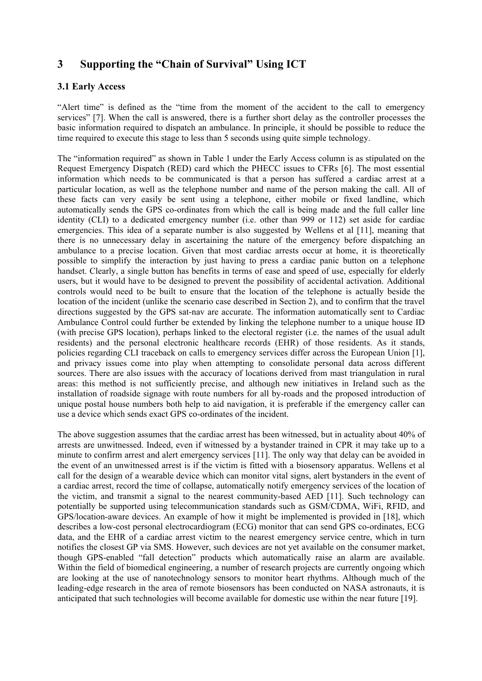## **3 Supporting the "Chain of Survival" Using ICT**

#### **3.1 Early Access**

"Alert time" is defined as the "time from the moment of the accident to the call to emergency services" [7]. When the call is answered, there is a further short delay as the controller processes the basic information required to dispatch an ambulance. In principle, it should be possible to reduce the time required to execute this stage to less than 5 seconds using quite simple technology.

The "information required" as shown in Table 1 under the Early Access column is as stipulated on the Request Emergency Dispatch (RED) card which the PHECC issues to CFRs [6]. The most essential information which needs to be communicated is that a person has suffered a cardiac arrest at a particular location, as well as the telephone number and name of the person making the call. All of these facts can very easily be sent using a telephone, either mobile or fixed landline, which automatically sends the GPS co-ordinates from which the call is being made and the full caller line identity (CLI) to a dedicated emergency number (i.e. other than 999 or 112) set aside for cardiac emergencies. This idea of a separate number is also suggested by Wellens et al [11], meaning that there is no unnecessary delay in ascertaining the nature of the emergency before dispatching an ambulance to a precise location. Given that most cardiac arrests occur at home, it is theoretically possible to simplify the interaction by just having to press a cardiac panic button on a telephone handset. Clearly, a single button has benefits in terms of ease and speed of use, especially for elderly users, but it would have to be designed to prevent the possibility of accidental activation. Additional controls would need to be built to ensure that the location of the telephone is actually beside the location of the incident (unlike the scenario case described in Section 2), and to confirm that the travel directions suggested by the GPS sat-nav are accurate. The information automatically sent to Cardiac Ambulance Control could further be extended by linking the telephone number to a unique house ID (with precise GPS location), perhaps linked to the electoral register (i.e. the names of the usual adult residents) and the personal electronic healthcare records (EHR) of those residents. As it stands, policies regarding CLI traceback on calls to emergency services differ across the European Union [1], and privacy issues come into play when attempting to consolidate personal data across different sources. There are also issues with the accuracy of locations derived from mast triangulation in rural areas: this method is not sufficiently precise, and although new initiatives in Ireland such as the installation of roadside signage with route numbers for all by-roads and the proposed introduction of unique postal house numbers both help to aid navigation, it is preferable if the emergency caller can use a device which sends exact GPS co-ordinates of the incident.

The above suggestion assumes that the cardiac arrest has been witnessed, but in actuality about 40% of arrests are unwitnessed. Indeed, even if witnessed by a bystander trained in CPR it may take up to a minute to confirm arrest and alert emergency services [11]. The only way that delay can be avoided in the event of an unwitnessed arrest is if the victim is fitted with a biosensory apparatus. Wellens et al call for the design of a wearable device which can monitor vital signs, alert bystanders in the event of a cardiac arrest, record the time of collapse, automatically notify emergency services of the location of the victim, and transmit a signal to the nearest community-based AED [11]. Such technology can potentially be supported using telecommunication standards such as GSM/CDMA, WiFi, RFID, and GPS/location-aware devices. An example of how it might be implemented is provided in [18], which describes a low-cost personal electrocardiogram (ECG) monitor that can send GPS co-ordinates, ECG data, and the EHR of a cardiac arrest victim to the nearest emergency service centre, which in turn notifies the closest GP via SMS. However, such devices are not yet available on the consumer market, though GPS-enabled "fall detection" products which automatically raise an alarm are available. Within the field of biomedical engineering, a number of research projects are currently ongoing which are looking at the use of nanotechnology sensors to monitor heart rhythms. Although much of the leading-edge research in the area of remote biosensors has been conducted on NASA astronauts, it is anticipated that such technologies will become available for domestic use within the near future [19].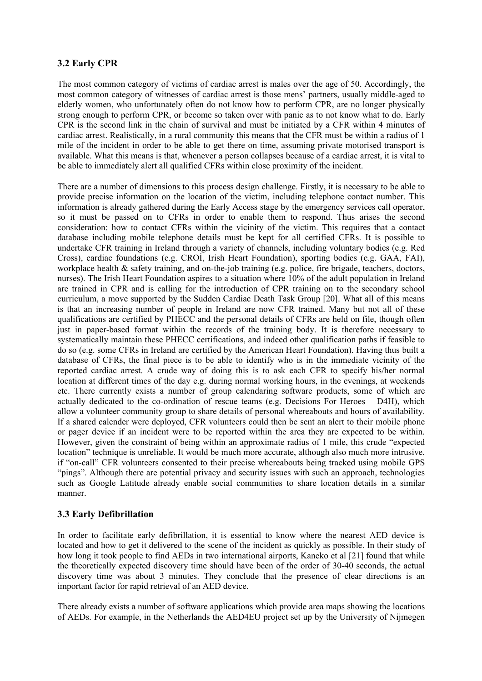#### **3.2 Early CPR**

The most common category of victims of cardiac arrest is males over the age of 50. Accordingly, the most common category of witnesses of cardiac arrest is those mens' partners, usually middle-aged to elderly women, who unfortunately often do not know how to perform CPR, are no longer physically strong enough to perform CPR, or become so taken over with panic as to not know what to do. Early CPR is the second link in the chain of survival and must be initiated by a CFR within 4 minutes of cardiac arrest. Realistically, in a rural community this means that the CFR must be within a radius of 1 mile of the incident in order to be able to get there on time, assuming private motorised transport is available. What this means is that, whenever a person collapses because of a cardiac arrest, it is vital to be able to immediately alert all qualified CFRs within close proximity of the incident.

There are a number of dimensions to this process design challenge. Firstly, it is necessary to be able to provide precise information on the location of the victim, including telephone contact number. This information is already gathered during the Early Access stage by the emergency services call operator, so it must be passed on to CFRs in order to enable them to respond. Thus arises the second consideration: how to contact CFRs within the vicinity of the victim. This requires that a contact database including mobile telephone details must be kept for all certified CFRs. It is possible to undertake CFR training in Ireland through a variety of channels, including voluntary bodies (e.g. Red Cross), cardiac foundations (e.g. CROÍ, Irish Heart Foundation), sporting bodies (e.g. GAA, FAI), workplace health & safety training, and on-the-job training (e.g. police, fire brigade, teachers, doctors, nurses). The Irish Heart Foundation aspires to a situation where 10% of the adult population in Ireland are trained in CPR and is calling for the introduction of CPR training on to the secondary school curriculum, a move supported by the Sudden Cardiac Death Task Group [20]. What all of this means is that an increasing number of people in Ireland are now CFR trained. Many but not all of these qualifications are certified by PHECC and the personal details of CFRs are held on file, though often just in paper-based format within the records of the training body. It is therefore necessary to systematically maintain these PHECC certifications, and indeed other qualification paths if feasible to do so (e.g. some CFRs in Ireland are certified by the American Heart Foundation). Having thus built a database of CFRs, the final piece is to be able to identify who is in the immediate vicinity of the reported cardiac arrest. A crude way of doing this is to ask each CFR to specify his/her normal location at different times of the day e.g. during normal working hours, in the evenings, at weekends etc. There currently exists a number of group calendaring software products, some of which are actually dedicated to the co-ordination of rescue teams (e.g. Decisions For Heroes – D4H), which allow a volunteer community group to share details of personal whereabouts and hours of availability. If a shared calender were deployed, CFR volunteers could then be sent an alert to their mobile phone or pager device if an incident were to be reported within the area they are expected to be within. However, given the constraint of being within an approximate radius of 1 mile, this crude "expected location" technique is unreliable. It would be much more accurate, although also much more intrusive, if "on-call" CFR volunteers consented to their precise whereabouts being tracked using mobile GPS "pings". Although there are potential privacy and security issues with such an approach, technologies such as Google Latitude already enable social communities to share location details in a similar manner.

#### **3.3 Early Defibrillation**

In order to facilitate early defibrillation, it is essential to know where the nearest AED device is located and how to get it delivered to the scene of the incident as quickly as possible. In their study of how long it took people to find AEDs in two international airports, Kaneko et al [21] found that while the theoretically expected discovery time should have been of the order of 30-40 seconds, the actual discovery time was about 3 minutes. They conclude that the presence of clear directions is an important factor for rapid retrieval of an AED device.

There already exists a number of software applications which provide area maps showing the locations of AEDs. For example, in the Netherlands the AED4EU project set up by the University of Nijmegen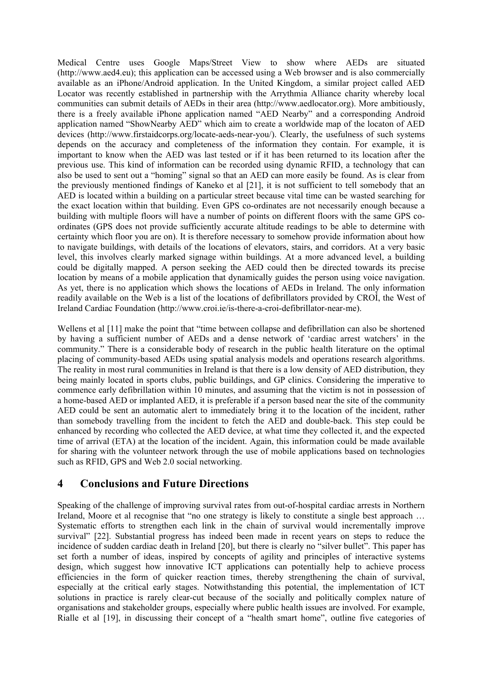Medical Centre uses Google Maps/Street View to show where AEDs are situated (http://www.aed4.eu); this application can be accessed using a Web browser and is also commercially available as an iPhone/Android application. In the United Kingdom, a similar project called AED Locator was recently established in partnership with the Arrythmia Alliance charity whereby local communities can submit details of AEDs in their area (http://www.aedlocator.org). More ambitiously, there is a freely available iPhone application named "AED Nearby" and a corresponding Android application named "ShowNearby AED" which aim to create a worldwide map of the locaton of AED devices (http://www.firstaidcorps.org/locate-aeds-near-you/). Clearly, the usefulness of such systems depends on the accuracy and completeness of the information they contain. For example, it is important to know when the AED was last tested or if it has been returned to its location after the previous use. This kind of information can be recorded using dynamic RFID, a technology that can also be used to sent out a "homing" signal so that an AED can more easily be found. As is clear from the previously mentioned findings of Kaneko et al [21], it is not sufficient to tell somebody that an AED is located within a building on a particular street because vital time can be wasted searching for the exact location within that building. Even GPS co-ordinates are not necessarily enough because a building with multiple floors will have a number of points on different floors with the same GPS coordinates (GPS does not provide sufficiently accurate altitude readings to be able to determine with certainty which floor you are on). It is therefore necessary to somehow provide information about how to navigate buildings, with details of the locations of elevators, stairs, and corridors. At a very basic level, this involves clearly marked signage within buildings. At a more advanced level, a building could be digitally mapped. A person seeking the AED could then be directed towards its precise location by means of a mobile application that dynamically guides the person using voice navigation. As yet, there is no application which shows the locations of AEDs in Ireland. The only information readily available on the Web is a list of the locations of defibrillators provided by CROÍ, the West of Ireland Cardiac Foundation (http://www.croi.ie/is-there-a-croi-defibrillator-near-me).

Wellens et al [11] make the point that "time between collapse and defibrillation can also be shortened by having a sufficient number of AEDs and a dense network of 'cardiac arrest watchers' in the community." There is a considerable body of research in the public health literature on the optimal placing of community-based AEDs using spatial analysis models and operations research algorithms. The reality in most rural communities in Ireland is that there is a low density of AED distribution, they being mainly located in sports clubs, public buildings, and GP clinics. Considering the imperative to commence early defibrillation within 10 minutes, and assuming that the victim is not in possession of a home-based AED or implanted AED, it is preferable if a person based near the site of the community AED could be sent an automatic alert to immediately bring it to the location of the incident, rather than somebody travelling from the incident to fetch the AED and double-back. This step could be enhanced by recording who collected the AED device, at what time they collected it, and the expected time of arrival (ETA) at the location of the incident. Again, this information could be made available for sharing with the volunteer network through the use of mobile applications based on technologies such as RFID, GPS and Web 2.0 social networking.

## **4 Conclusions and Future Directions**

Speaking of the challenge of improving survival rates from out-of-hospital cardiac arrests in Northern Ireland, Moore et al recognise that "no one strategy is likely to constitute a single best approach … Systematic efforts to strengthen each link in the chain of survival would incrementally improve survival" [22]. Substantial progress has indeed been made in recent years on steps to reduce the incidence of sudden cardiac death in Ireland [20], but there is clearly no "silver bullet". This paper has set forth a number of ideas, inspired by concepts of agility and principles of interactive systems design, which suggest how innovative ICT applications can potentially help to achieve process efficiencies in the form of quicker reaction times, thereby strengthening the chain of survival, especially at the critical early stages. Notwithstanding this potential, the implementation of ICT solutions in practice is rarely clear-cut because of the socially and politically complex nature of organisations and stakeholder groups, especially where public health issues are involved. For example, Rialle et al [19], in discussing their concept of a "health smart home", outline five categories of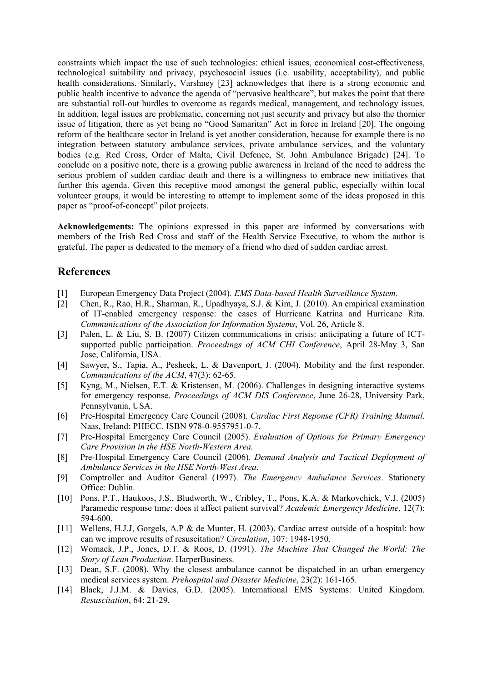constraints which impact the use of such technologies: ethical issues, economical cost-effectiveness, technological suitability and privacy, psychosocial issues (i.e. usability, acceptability), and public health considerations. Similarly, Varshney [23] acknowledges that there is a strong economic and public health incentive to advance the agenda of "pervasive healthcare", but makes the point that there are substantial roll-out hurdles to overcome as regards medical, management, and technology issues. In addition, legal issues are problematic, concerning not just security and privacy but also the thornier issue of litigation, there as yet being no "Good Samaritan" Act in force in Ireland [20]. The ongoing reform of the healthcare sector in Ireland is yet another consideration, because for example there is no integration between statutory ambulance services, private ambulance services, and the voluntary bodies (e.g. Red Cross, Order of Malta, Civil Defence, St. John Ambulance Brigade) [24]. To conclude on a positive note, there is a growing public awareness in Ireland of the need to address the serious problem of sudden cardiac death and there is a willingness to embrace new initiatives that further this agenda. Given this receptive mood amongst the general public, especially within local volunteer groups, it would be interesting to attempt to implement some of the ideas proposed in this paper as "proof-of-concept" pilot projects.

**Acknowledgements:** The opinions expressed in this paper are informed by conversations with members of the Irish Red Cross and staff of the Health Service Executive, to whom the author is grateful. The paper is dedicated to the memory of a friend who died of sudden cardiac arrest.

## **References**

- [1] European Emergency Data Project (2004). *EMS Data-based Health Surveillance System*.
- [2] Chen, R., Rao, H.R., Sharman, R., Upadhyaya, S.J. & Kim, J. (2010). An empirical examination of IT-enabled emergency response: the cases of Hurricane Katrina and Hurricane Rita. *Communications of the Association for Information Systems*, Vol. 26, Article 8.
- [3] Palen, L. & Liu, S. B. (2007) Citizen communications in crisis: anticipating a future of ICTsupported public participation. *Proceedings of ACM CHI Conference*, April 28-May 3, San Jose, California, USA.
- [4] Sawyer, S., Tapia, A., Pesheck, L. & Davenport, J. (2004). Mobility and the first responder. *Communications of the ACM*, 47(3): 62-65.
- [5] Kyng, M., Nielsen, E.T. & Kristensen, M. (2006). Challenges in designing interactive systems for emergency response. *Proceedings of ACM DIS Conference*, June 26-28, University Park, Pennsylvania, USA.
- [6] Pre-Hospital Emergency Care Council (2008). *Cardiac First Reponse (CFR) Training Manual*. Naas, Ireland: PHECC. ISBN 978-0-9557951-0-7.
- [7] Pre-Hospital Emergency Care Council (2005). *Evaluation of Options for Primary Emergency Care Provision in the HSE North-Western Area.*
- [8] Pre-Hospital Emergency Care Council (2006). *Demand Analysis and Tactical Deployment of Ambulance Services in the HSE North-West Area*.
- [9] Comptroller and Auditor General (1997). *The Emergency Ambulance Services*. Stationery Office: Dublin.
- [10] Pons, P.T., Haukoos, J.S., Bludworth, W., Cribley, T., Pons, K.A. & Markovchick, V.J. (2005) Paramedic response time: does it affect patient survival? *Academic Emergency Medicine*, 12(7): 594-600.
- [11] Wellens, H.J.J, Gorgels, A.P & de Munter, H. (2003). Cardiac arrest outside of a hospital: how can we improve results of resuscitation? *Circulation*, 107: 1948-1950.
- [12] Womack, J.P., Jones, D.T. & Roos, D. (1991). *The Machine That Changed the World: The Story of Lean Production*. HarperBusiness.
- [13] Dean, S.F. (2008). Why the closest ambulance cannot be dispatched in an urban emergency medical services system. *Prehospital and Disaster Medicine*, 23(2): 161-165.
- [14] Black, J.J.M. & Davies, G.D. (2005). International EMS Systems: United Kingdom. *Resuscitation*, 64: 21-29.